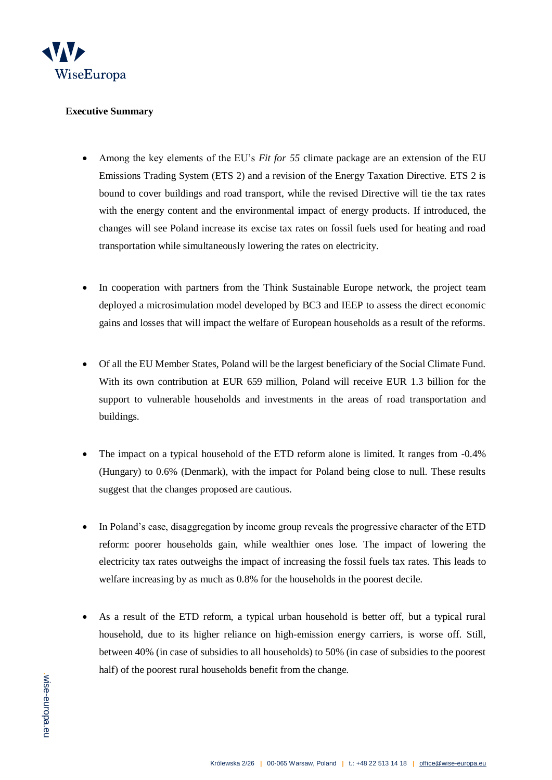

## **Executive Summary**

- Among the key elements of the EU's *Fit for 55* climate package are an extension of the EU Emissions Trading System (ETS 2) and a revision of the Energy Taxation Directive. ETS 2 is bound to cover buildings and road transport, while the revised Directive will tie the tax rates with the energy content and the environmental impact of energy products. If introduced, the changes will see Poland increase its excise tax rates on fossil fuels used for heating and road transportation while simultaneously lowering the rates on electricity.
- In cooperation with partners from the Think Sustainable Europe network, the project team deployed a microsimulation model developed by BC3 and IEEP to assess the direct economic gains and losses that will impact the welfare of European households as a result of the reforms.
- Of all the EU Member States, Poland will be the largest beneficiary of the Social Climate Fund. With its own contribution at EUR 659 million, Poland will receive EUR 1.3 billion for the support to vulnerable households and investments in the areas of road transportation and buildings.
- The impact on a typical household of the ETD reform alone is limited. It ranges from -0.4% (Hungary) to 0.6% (Denmark), with the impact for Poland being close to null. These results suggest that the changes proposed are cautious.
- In Poland's case, disaggregation by income group reveals the progressive character of the ETD reform: poorer households gain, while wealthier ones lose. The impact of lowering the electricity tax rates outweighs the impact of increasing the fossil fuels tax rates. This leads to welfare increasing by as much as 0.8% for the households in the poorest decile.
- As a result of the ETD reform, a typical urban household is better off, but a typical rural household, due to its higher reliance on high-emission energy carriers, is worse off. Still, between 40% (in case of subsidies to all households) to 50% (in case of subsidies to the poorest half) of the poorest rural households benefit from the change.